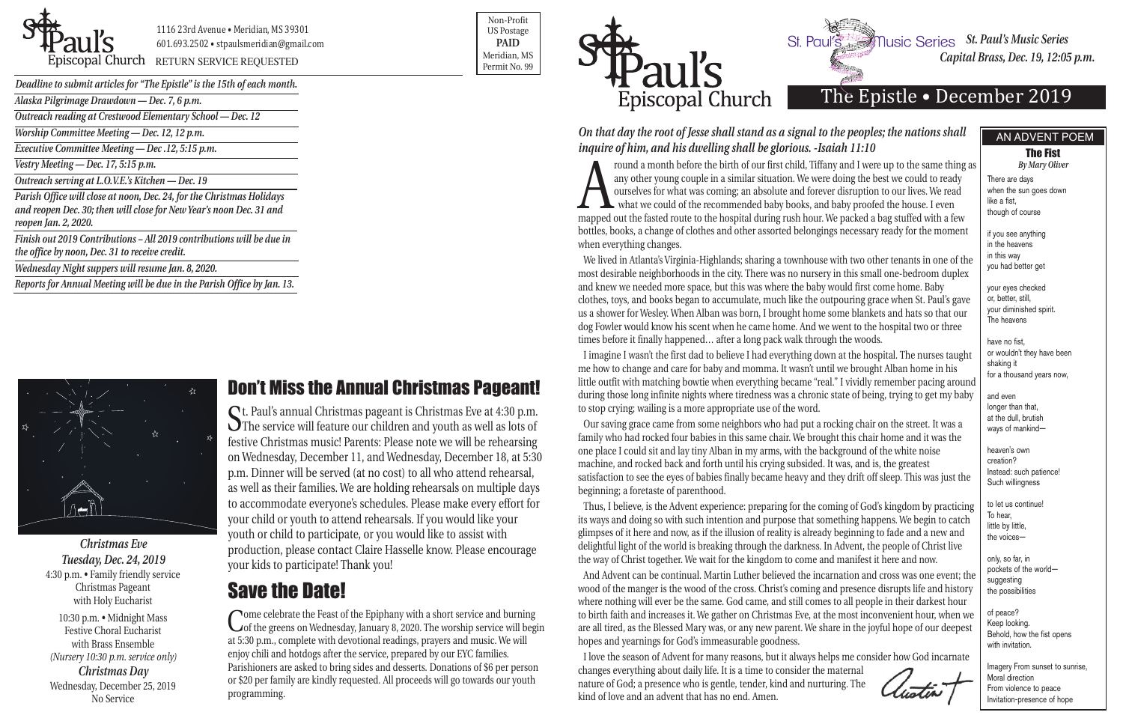| Deadline to submit articles for "The Epistle" is the 15th of each month.                                                                                             |  |
|----------------------------------------------------------------------------------------------------------------------------------------------------------------------|--|
| Alaska Pilgrimage Drawdown — Dec. 7, 6 p.m.                                                                                                                          |  |
| Outreach reading at Crestwood Elementary School - Dec. 12                                                                                                            |  |
| Worship Committee Meeting — Dec. 12, 12 p.m.                                                                                                                         |  |
| Executive Committee Meeting - Dec.12, 5:15 p.m.                                                                                                                      |  |
| Vestry Meeting — Dec. 17, 5:15 p.m.                                                                                                                                  |  |
| Outreach serving at L.O.V.E.'s Kitchen - Dec. 19                                                                                                                     |  |
| Parish Office will close at noon, Dec. 24, for the Christmas Holidays<br>and reopen Dec. 30; then will close for New Year's noon Dec. 31 and<br>reopen Jan. 2, 2020. |  |
| Finish out 2019 Contributions - All 2019 contributions will be due in<br>the office by noon, Dec. 31 to receive credit.                                              |  |
| Wednesday Night suppers will resume Jan. 8, 2020.                                                                                                                    |  |
| Reports for Annual Meeting will be due in the Parish Office by Jan. 13.                                                                                              |  |



**St. Paul's Music Series** St. Paul's Music Series *Capital Brass, Dec. 19, 12:05 p.m.* 



1116 23rd Avenue • Meridian, MS 39301 601.693.2502 • stpaulsmeridian@gmail.com

Piscopal Church RETURN SERVICE REQUESTED **Example 20** Refigual, MS Permit No. 99

Non-Profit US Postage **PAID** Meridian, MS



# The Epistle • December 2019

From a month before the birth of our first child, Tiffany and I were up to the same thing as<br>any other young couple in a similar situation. We were doing the best we could to ready<br>ourselves for what was coming; an absolut any other young couple in a similar situation. We were doing the best we could to ready ourselves for what was coming; an absolute and forever disruption to our lives. We read what we could of the recommended baby books, and baby proofed the house. I even mapped out the fasted route to the hospital during rush hour. We packed a bag stuffed with a few bottles, books, a change of clothes and other assorted belongings necessary ready for the moment when everything changes.

*Christmas Eve Tuesday, Dec. 24, 2019* 4:30 p.m. • Family friendly service Christmas Pageant with Holy Eucharist

10:30 p.m. • Midnight Mass Festive Choral Eucharist with Brass Ensemble *(Nursery 10:30 p.m. service only) Christmas Day* Wednesday, December 25, 2019 No Service

*On that day the root of Jesse shall stand as a signal to the peoples; the nations shall inquire of him, and his dwelling shall be glorious. -Isaiah 11:10*

We lived in Atlanta's Virginia-Highlands; sharing a townhouse with two other tenants in one of the most desirable neighborhoods in the city. There was no nursery in this small one-bedroom duplex and knew we needed more space, but this was where the baby would first come home. Baby clothes, toys, and books began to accumulate, much like the outpouring grace when St. Paul's gave us a shower for Wesley. When Alban was born, I brought home some blankets and hats so that our dog Fowler would know his scent when he came home. And we went to the hospital two or three times before it finally happened… after a long pack walk through the woods.

I imagine I wasn't the first dad to believe I had everything down at the hospital. The nurses taught me how to change and care for baby and momma. It wasn't until we brought Alban home in his little outfit with matching bowtie when everything became "real." I vividly remember pacing around during those long infinite nights where tiredness was a chronic state of being, trying to get my baby to stop crying; wailing is a more appropriate use of the word.

Come celebrate the Feast of the Epiphany with a short service and burning<br>
of the greens on Wednesday, January 8, 2020. The worship service will begin at 5:30 p.m., complete with devotional readings, prayers and music. We will enjoy chili and hotdogs after the service, prepared by our EYC families. Parishioners are asked to bring sides and desserts. Donations of \$6 per person or \$20 per family are kindly requested. All proceeds will go towards our youth programming.

Our saving grace came from some neighbors who had put a rocking chair on the street. It was a family who had rocked four babies in this same chair. We brought this chair home and it was the one place I could sit and lay tiny Alban in my arms, with the background of the white noise machine, and rocked back and forth until his crying subsided. It was, and is, the greatest satisfaction to see the eyes of babies finally became heavy and they drift off sleep. This was just the beginning; a foretaste of parenthood.

Thus, I believe, is the Advent experience: preparing for the coming of God's kingdom by practicing its ways and doing so with such intention and purpose that something happens. We begin to catch glimpses of it here and now, as if the illusion of reality is already beginning to fade and a new and delightful light of the world is breaking through the darkness. In Advent, the people of Christ live the way of Christ together. We wait for the kingdom to come and manifest it here and now.

And Advent can be continual. Martin Luther believed the incarnation and cross was one event; the wood of the manger is the wood of the cross. Christ's coming and presence disrupts life and history where nothing will ever be the same. God came, and still comes to all people in their darkest hour to birth faith and increases it. We gather on Christmas Eve, at the most inconvenient hour, when we are all tired, as the Blessed Mary was, or any new parent. We share in the joyful hope of our deepest hopes and yearnings for God's immeasurable goodness.

I love the season of Advent for many reasons, but it always helps me consider how God incarnate changes everything about daily life. It is a time to consider the maternal nature of God; a presence who is gentle, tender, kind and nurturing. The kind of love and an advent that has no end. Amen.

There are days when the sun goes down like a fist, though of course

if you see anything in the heavens in this way you had better get

your eyes checked or, better, still, your diminished spirit. The heavens

have no fist, or wouldn't they have been shaking it for a thousand years now,

and even longer than that, at the dull, brutish ways of mankind—

heaven's own creation? Instead: such patience! Such willingness

to let us continue! To hear, little by little, the voices—

only, so far, in pockets of the world suggesting the possibilities

of peace? Keep looking. Behold, how the fist opens with invitation.

Imagery From sunset to sunrise, Moral direction From violence to peace Invitation-presence of hope

# Save the Date!

#### Don't Miss the Annual Christmas Pageant!

St. Paul's annual Christmas pageant is Christmas Eve at 4:30 p.m. The service will feature our children and youth as well as lots of festive Christmas music! Parents: Please note we will be rehearsing on Wednesday, December 11, and Wednesday, December 18, at 5:30 p.m. Dinner will be served (at no cost) to all who attend rehearsal, as well as their families. We are holding rehearsals on multiple days to accommodate everyone's schedules. Please make every effort for your child or youth to attend rehearsals. If you would like your youth or child to participate, or you would like to assist with production, please contact Claire Hasselle know. Please encourage your kids to participate! Thank you!

#### AN ADVENT POEM

The Fist *By Mary Oliver*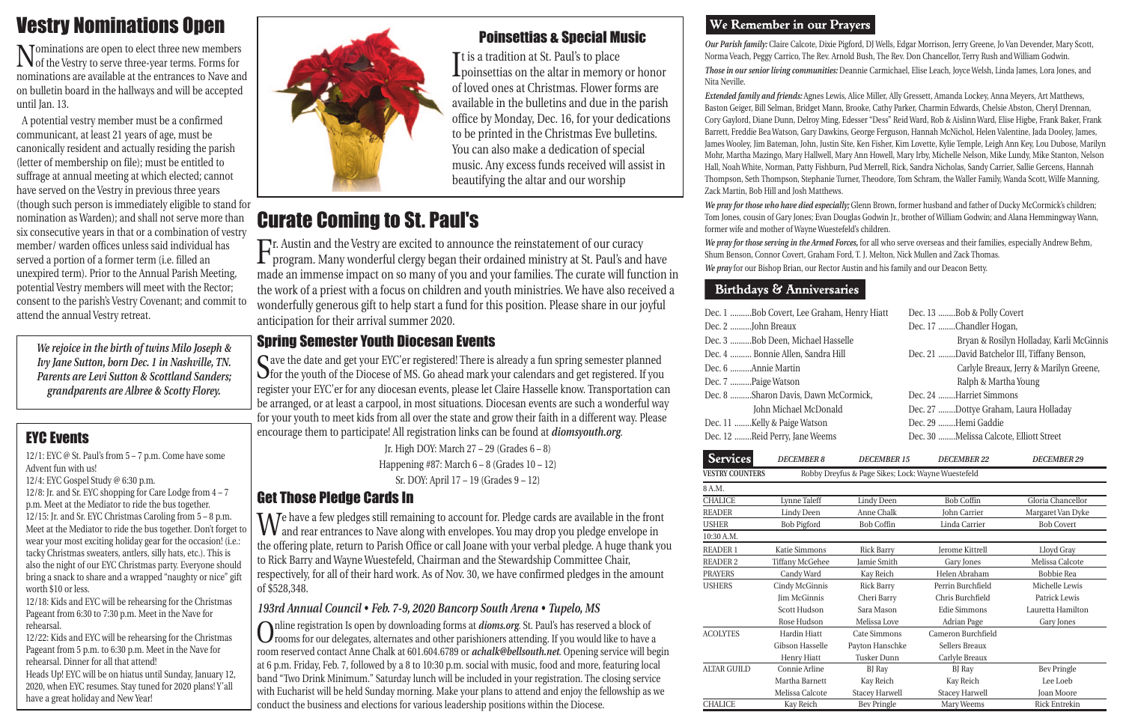*Our Parish family:* Claire Calcote, Dixie Pigford, DJ Wells, Edgar Morrison, Jerry Greene, Jo Van Devender, Mary Scott, Norma Veach, Peggy Carrico, The Rev. Arnold Bush, The Rev. Don Chancellor, Terry Rush and William Godwin. *Those in our senior living communities:* Deannie Carmichael, Elise Leach, Joyce Welsh, Linda James, Lora Jones, and Nita Neville.

*Extended family and friends:* Agnes Lewis, Alice Miller, Ally Gressett, Amanda Lockey, Anna Meyers, Art Matthews, Baston Geiger, Bill Selman, Bridget Mann, Brooke, Cathy Parker, Charmin Edwards, Chelsie Abston, Cheryl Drennan, Cory Gaylord, Diane Dunn, Delroy Ming, Edesser "Dess" Reid Ward, Rob & Aislinn Ward, Elise Higbe, Frank Baker, Frank Barrett, Freddie Bea Watson, Gary Dawkins, George Ferguson, Hannah McNichol, Helen Valentine, Jada Dooley, James, James Wooley, Jim Bateman, John, Justin Site, Ken Fisher, Kim Lovette, Kylie Temple, Leigh Ann Key, Lou Dubose, Marilyn Mohr, Martha Mazingo, Mary Hallwell, Mary Ann Howell, Mary Irby, Michelle Nelson, Mike Lundy, Mike Stanton, Nelson Hall, Noah White, Norman, Patty Fishburn, Pud Merrell, Rick, Sandra Nicholas, Sandy Carrier, Sallie Gercens, Hannah Thompson, Seth Thompson, Stephanie Turner, Theodore, Tom Schram, the Waller Family, Wanda Scott, Wilfe Manning, Zack Martin, Bob Hill and Josh Matthews. *We pray for those who have died especially;* Glenn Brown, former husband and father of Ducky McCormick's children; Tom Jones, cousin of Gary Jones; Evan Douglas Godwin Jr., brother of William Godwin; and Alana Hemmingway Wann, former wife and mother of Wayne Wuestefeld's children. *We pray for those serving in the Armed Forces,* for all who serve overseas and their families, especially Andrew Behm, Shum Benson, Connor Covert, Graham Ford, T. J. Melton, Nick Mullen and Zack Thomas. *We pray* for our Bishop Brian, our Rector Austin and his family and our Deacon Betty.

#### **Birthdays & Anniversaries**

12/1: EYC @ St. Paul's from  $5 - 7$  p.m. Come have some Advent fun with us!

| Dec. 1 Bob Covert, Lee Graham, Henry Hiatt | Dec. 13 Bob & Polly Covert                   |
|--------------------------------------------|----------------------------------------------|
| Dec. 2 John Breaux                         | Dec. 17 Chandler Hogan,                      |
| Dec. 3 Bob Deen, Michael Hasselle          | Bryan & Rosilyn Holladay, Karli McGinnis     |
| Dec. 4  Bonnie Allen, Sandra Hill          | Dec. 21 David Batchelor III, Tiffany Benson, |
| Dec. 6 Annie Martin                        | Carlyle Breaux, Jerry & Marilyn Greene,      |
| Dec. 7 Paige Watson                        | Ralph & Martha Young                         |
| Dec. 8 Sharon Davis, Dawn McCormick,       | Dec. 24 Harriet Simmons                      |
| John Michael McDonald                      | Dec. 27 Dottye Graham, Laura Holladay        |
| Dec. 11 Kelly & Paige Watson               | Dec. 29 Hemi Gaddie                          |
| Dec. 12 Reid Perry, Jane Weems             | Dec. 30 Melissa Calcote, Elliott Street      |
|                                            |                                              |

Save the date and get your EYC'er registered! There is already a fun spring semester planned<br>So the youth of the Diocese of MS. Go ahead mark your calendars and get registered. If you register your EYC'er for any diocesan events, please let Claire Hasselle know. Transportation can be arranged, or at least a carpool, in most situations. Diocesan events are such a wonderful way for your youth to meet kids from all over the state and grow their faith in a different way. Please encourage them to participate! All registration links can be found at *diomsyouth.org*.

| <b>DECEMBER 8</b>      | <b>DECEMBER 15</b>    | <b>DECEMBER 22</b>     | <b>DECEMBER 29</b>                                 |
|------------------------|-----------------------|------------------------|----------------------------------------------------|
|                        |                       |                        |                                                    |
|                        |                       |                        |                                                    |
| Lynne Taleff           | <b>Lindy Deen</b>     | <b>Bob Coffin</b>      | Gloria Chancellor                                  |
| Lindy Deen             | Anne Chalk            | John Carrier           | Margaret Van Dyke                                  |
| <b>Bob Pigford</b>     | <b>Bob Coffin</b>     | Linda Carrier          | <b>Bob Covert</b>                                  |
|                        |                       |                        |                                                    |
| Katie Simmons          | <b>Rick Barry</b>     | <b>Jerome Kittrell</b> | Lloyd Gray                                         |
| <b>Tiffany McGehee</b> | Jamie Smith           | Gary Jones             | Melissa Calcote                                    |
| Candy Ward             | Kay Reich             | Helen Abraham          | Bobbie Rea                                         |
| Cindy McGinnis         | <b>Rick Barry</b>     | Perrin Burchfield      | Michelle Lewis                                     |
| <b>Iim McGinnis</b>    | Cheri Barry           | Chris Burchfield       | Patrick Lewis                                      |
| Scott Hudson           | Sara Mason            | <b>Edie Simmons</b>    | Lauretta Hamilton                                  |
| Rose Hudson            | Melissa Love          | Adrian Page            | Gary Jones                                         |
| <b>Hardin Hiatt</b>    | Cate Simmons          | Cameron Burchfield     |                                                    |
| Gibson Hasselle        | Payton Hanschke       | Sellers Breaux         |                                                    |
| Henry Hiatt            | <b>Tusker Dunn</b>    | Carlyle Breaux         |                                                    |
| Connie Arline          | BJ Ray                | BJ Ray                 | <b>Bev Pringle</b>                                 |
| Martha Barnett         | Kay Reich             | Kay Reich              | Lee Loeb                                           |
| Melissa Calcote        | <b>Stacey Harwell</b> | <b>Stacey Harwell</b>  | <b>Joan Moore</b>                                  |
| Kay Reich              | <b>Bev Pringle</b>    | Mary Weems             | <b>Rick Entrekin</b>                               |
|                        |                       |                        | Robby Dreyfus & Page Sikes; Lock: Wayne Wuestefeld |

It is a tradition at St. Pauls to place<br>poinsettias on the altar in memory or honor **T**t is a tradition at St. Paul's to place of loved ones at Christmas. Flower forms are available in the bulletins and due in the parish office by Monday, Dec. 16, for your dedications to be printed in the Christmas Eve bulletins. You can also make a dedication of special music. Any excess funds received will assist in beautifying the altar and our worship

#### EYC Events

12/4: EYC Gospel Study @ 6:30 p.m.

12/8: Jr. and Sr. EYC shopping for Care Lodge from 4 – 7 p.m. Meet at the Mediator to ride the bus together. 12/15: Jr. and Sr. EYC Christmas Caroling from 5 – 8 p.m. Meet at the Mediator to ride the bus together. Don't forget to wear your most exciting holiday gear for the occasion! (i.e.: tacky Christmas sweaters, antlers, silly hats, etc.). This is also the night of our EYC Christmas party. Everyone should bring a snack to share and a wrapped "naughty or nice" gift worth \$10 or less.

Fr. Austin and the Vestry are excited to announce the reinstatement of our curacy<br>program. Many wonderful clergy began their ordained ministry at St. Paul's and have made an immense impact on so many of you and your families. The curate will function in the work of a priest with a focus on children and youth ministries. We have also received a wonderfully generous gift to help start a fund for this position. Please share in our joyful anticipation for their arrival summer 2020.

12/18: Kids and EYC will be rehearsing for the Christmas Pageant from 6:30 to 7:30 p.m. Meet in the Nave for rehearsal.

12/22: Kids and EYC will be rehearsing for the Christmas Pageant from 5 p.m. to 6:30 p.m. Meet in the Nave for rehearsal. Dinner for all that attend!

Heads Up! EYC will be on hiatus until Sunday, January 12, 2020, when EYC resumes. Stay tuned for 2020 plans! Y'all have a great holiday and New Year!



#### Spring Semester Youth Diocesan Events

Jr. High DOY: March 27 – 29 (Grades 6 – 8) Happening #87: March  $6 - 8$  (Grades  $10 - 12$ ) Sr. DOY: April 17 – 19 (Grades 9 – 12)

### Get Those Pledge Cards In

We have a few pledges still remaining to account for. Pledge cards are available in the front and rear entrances to Nave along with envelopes. You may drop you pledge envelope in the offering plate, return to Parish Office or call Joane with your verbal pledge. A huge thank you to Rick Barry and Wayne Wuestefeld, Chairman and the Stewardship Committee Chair, respectively, for all of their hard work. As of Nov. 30, we have confirmed pledges in the amount of \$528,348.

#### *193rd Annual Council • Feb. 7-9, 2020 Bancorp South Arena • Tupelo, MS*

Online registration Is open by downloading forms at *dioms.org*. St. Paul's has reserved a block of rooms for our delegates, alternates and other parishioners attending. If you would like to have a room reserved contact Anne Chalk at 601.604.6789 or *achalk@bellsouth.net*. Opening service will begin at 6 p.m. Friday, Feb. 7, followed by a 8 to 10:30 p.m. social with music, food and more, featuring local band "Two Drink Minimum." Saturday lunch will be included in your registration. The closing service with Eucharist will be held Sunday morning. Make your plans to attend and enjoy the fellowship as we conduct the business and elections for various leadership positions within the Diocese.

#### We Remember in our Prayers

### Poinsettias & Special Music

# Vestry Nominations Open

Nominations are open to elect three new members of the Vestry to serve three-year terms. Forms for nominations are available at the entrances to Nave and on bulletin board in the hallways and will be accepted until Jan. 13.

A potential vestry member must be a confirmed communicant, at least 21 years of age, must be canonically resident and actually residing the parish (letter of membership on file); must be entitled to suffrage at annual meeting at which elected; cannot have served on the Vestry in previous three years (though such person is immediately eligible to stand for nomination as Warden); and shall not serve more than six consecutive years in that or a combination of vestry member/ warden offices unless said individual has served a portion of a former term (i.e. filled an unexpired term). Prior to the Annual Parish Meeting, potential Vestry members will meet with the Rector; consent to the parish's Vestry Covenant; and commit to attend the annual Vestry retreat.

# Curate Coming to St. Paul's

*We rejoice in the birth of twins Milo Joseph & Ivy Jane Sutton, born Dec. 1 in Nashville, TN. Parents are Levi Sutton & Scottland Sanders; grandparents are Albree & Scotty Florey.*